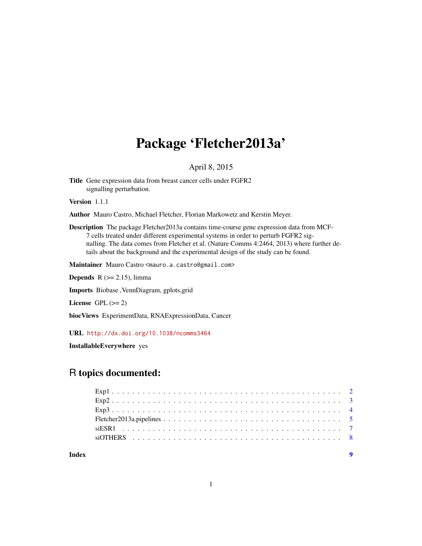# Package 'Fletcher2013a'

# April 8, 2015

<span id="page-0-0"></span>Title Gene expression data from breast cancer cells under FGFR2 signalling perturbation.

Version 1.1.1

Author Mauro Castro, Michael Fletcher, Florian Markowetz and Kerstin Meyer.

Description The package Fletcher2013a contains time-course gene expression data from MCF-7 cells treated under different experimental systems in order to perturb FGFR2 signalling. The data comes from Fletcher et al. (Nature Comms 4:2464, 2013) where further details about the background and the experimental design of the study can be found.

Maintainer Mauro Castro <mauro.a.castro@gmail.com>

**Depends**  $R$  ( $>= 2.15$ ), limma

Imports Biobase ,VennDiagram, gplots,grid

License GPL  $(>= 2)$ 

biocViews ExperimentData, RNAExpressionData, Cancer

URL <http://dx.doi.org/10.1038/ncomms3464>

InstallableEverywhere yes

# R topics documented:

**Index** [9](#page-8-0)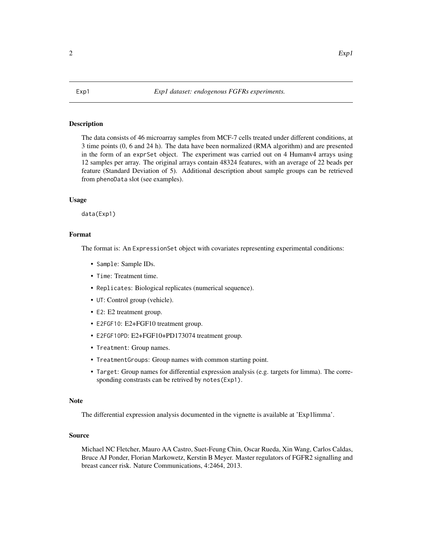### <span id="page-1-2"></span><span id="page-1-1"></span><span id="page-1-0"></span>Description

The data consists of 46 microarray samples from MCF-7 cells treated under different conditions, at 3 time points (0, 6 and 24 h). The data have been normalized (RMA algorithm) and are presented in the form of an exprSet object. The experiment was carried out on 4 Humanv4 arrays using 12 samples per array. The original arrays contain 48324 features, with an average of 22 beads per feature (Standard Deviation of 5). Additional description about sample groups can be retrieved from phenoData slot (see examples).

#### Usage

data(Exp1)

#### Format

The format is: An ExpressionSet object with covariates representing experimental conditions:

- Sample: Sample IDs.
- Time: Treatment time.
- Replicates: Biological replicates (numerical sequence).
- UT: Control group (vehicle).
- E2: E2 treatment group.
- E2FGF10: E2+FGF10 treatment group.
- E2FGF10PD: E2+FGF10+PD173074 treatment group.
- Treatment: Group names.
- TreatmentGroups: Group names with common starting point.
- Target: Group names for differential expression analysis (e.g. targets for limma). The corresponding constrasts can be retrived by notes(Exp1).

#### Note

The differential expression analysis documented in the vignette is available at 'Exp1limma'.

# Source

Michael NC Fletcher, Mauro AA Castro, Suet-Feung Chin, Oscar Rueda, Xin Wang, Carlos Caldas, Bruce AJ Ponder, Florian Markowetz, Kerstin B Meyer. Master regulators of FGFR2 signalling and breast cancer risk. Nature Communications, 4:2464, 2013.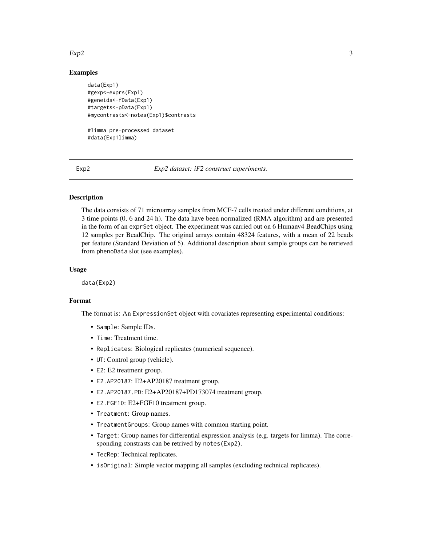#### <span id="page-2-0"></span> $Exp2$  3

# Examples

```
data(Exp1)
#gexp<-exprs(Exp1)
#geneids<-fData(Exp1)
#targets<-pData(Exp1)
#mycontrasts<-notes(Exp1)$contrasts
```

```
#limma pre-processed dataset
#data(Exp1limma)
```
<span id="page-2-1"></span>Exp2 *Exp2 dataset: iF2 construct experiments.*

# <span id="page-2-2"></span>Description

The data consists of 71 microarray samples from MCF-7 cells treated under different conditions, at 3 time points (0, 6 and 24 h). The data have been normalized (RMA algorithm) and are presented in the form of an exprSet object. The experiment was carried out on 6 Humanv4 BeadChips using 12 samples per BeadChip. The original arrays contain 48324 features, with a mean of 22 beads per feature (Standard Deviation of 5). Additional description about sample groups can be retrieved from phenoData slot (see examples).

# Usage

data(Exp2)

#### Format

The format is: An ExpressionSet object with covariates representing experimental conditions:

- Sample: Sample IDs.
- Time: Treatment time.
- Replicates: Biological replicates (numerical sequence).
- UT: Control group (vehicle).
- E2: E2 treatment group.
- E2.AP20187: E2+AP20187 treatment group.
- E2.AP20187.PD: E2+AP20187+PD173074 treatment group.
- E2.FGF10: E2+FGF10 treatment group.
- Treatment: Group names.
- TreatmentGroups: Group names with common starting point.
- Target: Group names for differential expression analysis (e.g. targets for limma). The corresponding constrasts can be retrived by notes(Exp2).
- TecRep: Technical replicates.
- isOriginal: Simple vector mapping all samples (excluding technical replicates).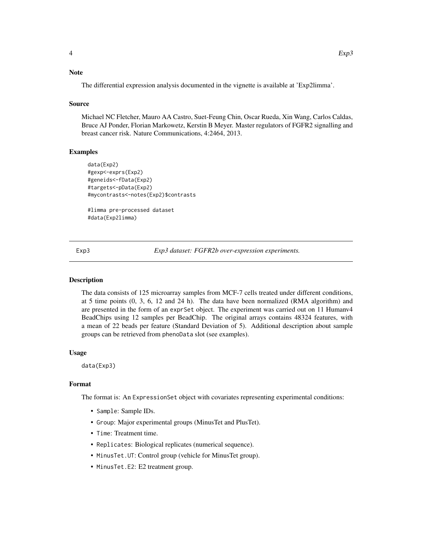# <span id="page-3-0"></span>**Note**

The differential expression analysis documented in the vignette is available at 'Exp2limma'.

#### Source

Michael NC Fletcher, Mauro AA Castro, Suet-Feung Chin, Oscar Rueda, Xin Wang, Carlos Caldas, Bruce AJ Ponder, Florian Markowetz, Kerstin B Meyer. Master regulators of FGFR2 signalling and breast cancer risk. Nature Communications, 4:2464, 2013.

# Examples

```
data(Exp2)
#gexp<-exprs(Exp2)
#geneids<-fData(Exp2)
#targets<-pData(Exp2)
#mycontrasts<-notes(Exp2)$contrasts
```
#limma pre-processed dataset #data(Exp2limma)

<span id="page-3-1"></span>

Exp3 *Exp3 dataset: FGFR2b over-expression experiments.*

### <span id="page-3-2"></span>Description

The data consists of 125 microarray samples from MCF-7 cells treated under different conditions, at 5 time points (0, 3, 6, 12 and 24 h). The data have been normalized (RMA algorithm) and are presented in the form of an exprSet object. The experiment was carried out on 11 Humanv4 BeadChips using 12 samples per BeadChip. The original arrays contains 48324 features, with a mean of 22 beads per feature (Standard Deviation of 5). Additional description about sample groups can be retrieved from phenoData slot (see examples).

#### Usage

data(Exp3)

### Format

The format is: An ExpressionSet object with covariates representing experimental conditions:

- Sample: Sample IDs.
- Group: Major experimental groups (MinusTet and PlusTet).
- Time: Treatment time.
- Replicates: Biological replicates (numerical sequence).
- MinusTet.UT: Control group (vehicle for MinusTet group).
- MinusTet.E2: E2 treatment group.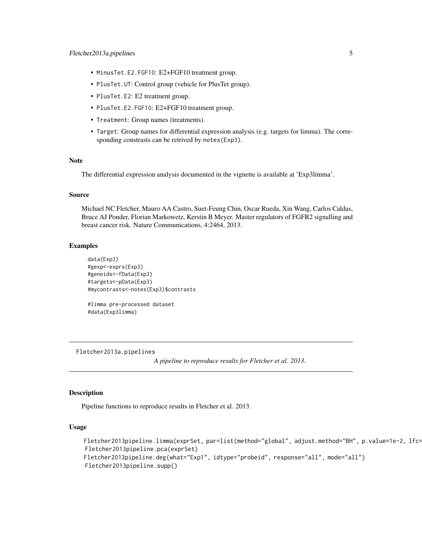- <span id="page-4-0"></span>• MinusTet.E2.FGF10: E2+FGF10 treatment group.
- PlusTet.UT: Control group (vehicle for PlusTet group).
- PlusTet.E2: E2 treatment group.
- PlusTet.E2.FGF10: E2+FGF10 treatment group.
- Treatment: Group names (treatments).
- Target: Group names for differential expression analysis (e.g. targets for limma). The corresponding constrasts can be retrived by notes(Exp3).

#### Note

The differential expression analysis documented in the vignette is available at 'Exp3limma'.

#### Source

Michael NC Fletcher, Mauro AA Castro, Suet-Feung Chin, Oscar Rueda, Xin Wang, Carlos Caldas, Bruce AJ Ponder, Florian Markowetz, Kerstin B Meyer. Master regulators of FGFR2 signalling and breast cancer risk. Nature Communications, 4:2464, 2013.

### Examples

```
data(Exp3)
#gexp<-exprs(Exp3)
#geneids<-fData(Exp3)
#targets<-pData(Exp3)
#mycontrasts<-notes(Exp3)$contrasts
```
#limma pre-processed dataset #data(Exp3limma)

Fletcher2013a.pipelines

*A pipeline to reproduce results for Fletcher et al. 2013.*

#### Description

Pipeline functions to reproduce results in Fletcher et al. 2013.

#### Usage

```
Fletcher2013pipeline.limma(exprSet, par=list(method="global", adjust.method="BH", p.value=1e-2, lfc=0))
Fletcher2013pipeline.pca(exprSet)
Fletcher2013pipeline.deg(what="Exp1", idtype="probeid", response="all", mode="all")
Fletcher2013pipeline.supp()
```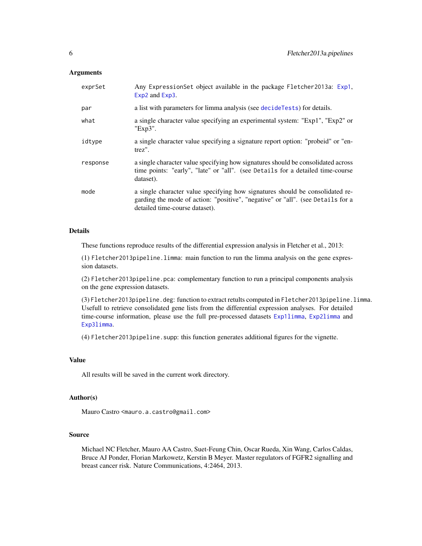### **Arguments**

| exprSet  | Any ExpressionSet object available in the package Fletcher2013a: Exp1,<br>Exp2 and Exp3.                                                                                                           |
|----------|----------------------------------------------------------------------------------------------------------------------------------------------------------------------------------------------------|
| par      | a list with parameters for limma analysis (see decideTests) for details.                                                                                                                           |
| what     | a single character value specifying an experimental system: "Exp1", "Exp2" or<br>"Exp3".                                                                                                           |
| idtype   | a single character value specifying a signature report option: "probeid" or "en-<br>trez".                                                                                                         |
| response | a single character value specifying how signatures should be consolidated across<br>time points: "early", "late" or "all". (see Details for a detailed time-course<br>dataset).                    |
| mode     | a single character value specifying how signatures should be consolidated re-<br>garding the mode of action: "positive", "negative" or "all". (see Details for a<br>detailed time-course dataset). |

# Details

These functions reproduce results of the differential expression analysis in Fletcher et al., 2013:

(1) Fletcher2013pipeline.limma: main function to run the limma analysis on the gene expression datasets.

(2) Fletcher2013pipeline.pca: complementary function to run a principal components analysis on the gene expression datasets.

(3) Fletcher2013pipeline.deg: function to extract retults computed in Fletcher2013pipeline.limma. Usefull to retrieve consolidated gene lists from the differential expression analyses. For detailed time-course information, please use the full pre-processed datasets [Exp1limma](#page-1-2), [Exp2limma](#page-2-2) and [Exp3limma](#page-3-2).

(4) Fletcher2013pipeline.supp: this function generates additional figures for the vignette.

# Value

All results will be saved in the current work directory.

# Author(s)

Mauro Castro <mauro.a.castro@gmail.com>

### Source

Michael NC Fletcher, Mauro AA Castro, Suet-Feung Chin, Oscar Rueda, Xin Wang, Carlos Caldas, Bruce AJ Ponder, Florian Markowetz, Kerstin B Meyer. Master regulators of FGFR2 signalling and breast cancer risk. Nature Communications, 4:2464, 2013.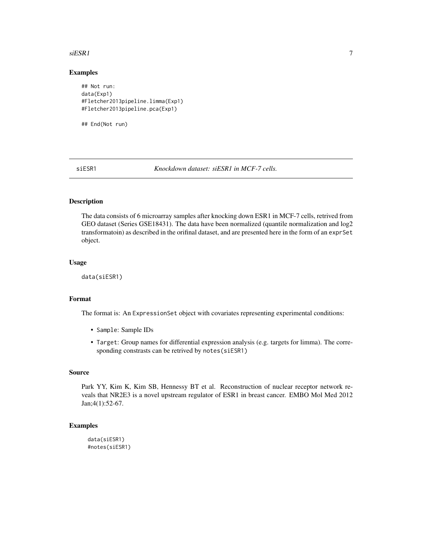#### <span id="page-6-0"></span> $s \in \mathbf{S} \mathbf{R}$  1

#### Examples

```
## Not run:
data(Exp1)
#Fletcher2013pipeline.limma(Exp1)
#Fletcher2013pipeline.pca(Exp1)
```
## End(Not run)

siESR1 *Knockdown dataset: siESR1 in MCF-7 cells.*

# Description

The data consists of 6 microarray samples after knocking down ESR1 in MCF-7 cells, retrived from GEO dataset (Series GSE18431). The data have been normalized (quantile normalization and log2 transformatoin) as described in the orifinal dataset, and are presented here in the form of an exprSet object.

#### Usage

data(siESR1)

# Format

The format is: An ExpressionSet object with covariates representing experimental conditions:

- Sample: Sample IDs
- Target: Group names for differential expression analysis (e.g. targets for limma). The corresponding constrasts can be retrived by notes(siESR1)

#### Source

Park YY, Kim K, Kim SB, Hennessy BT et al. Reconstruction of nuclear receptor network reveals that NR2E3 is a novel upstream regulator of ESR1 in breast cancer. EMBO Mol Med 2012 Jan;4(1):52-67.

# Examples

```
data(siESR1)
#notes(siESR1)
```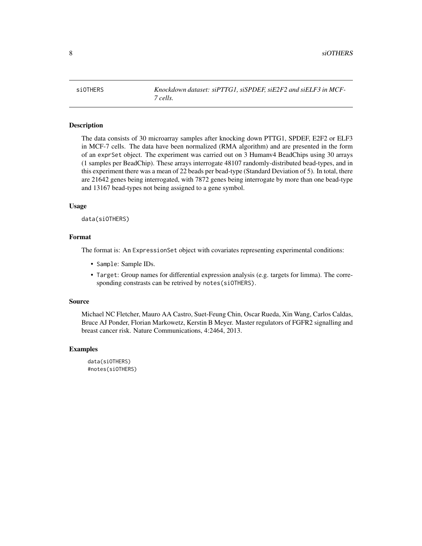<span id="page-7-0"></span>siOTHERS *Knockdown dataset: siPTTG1, siSPDEF, siE2F2 and siELF3 in MCF-7 cells.*

### Description

The data consists of 30 microarray samples after knocking down PTTG1, SPDEF, E2F2 or ELF3 in MCF-7 cells. The data have been normalized (RMA algorithm) and are presented in the form of an exprSet object. The experiment was carried out on 3 Humanv4 BeadChips using 30 arrays (1 samples per BeadChip). These arrays interrogate 48107 randomly-distributed bead-types, and in this experiment there was a mean of 22 beads per bead-type (Standard Deviation of 5). In total, there are 21642 genes being interrogated, with 7872 genes being interrogate by more than one bead-type and 13167 bead-types not being assigned to a gene symbol.

#### Usage

data(siOTHERS)

# Format

The format is: An ExpressionSet object with covariates representing experimental conditions:

- Sample: Sample IDs.
- Target: Group names for differential expression analysis (e.g. targets for limma). The corresponding constrasts can be retrived by notes(siOTHERS).

#### Source

Michael NC Fletcher, Mauro AA Castro, Suet-Feung Chin, Oscar Rueda, Xin Wang, Carlos Caldas, Bruce AJ Ponder, Florian Markowetz, Kerstin B Meyer. Master regulators of FGFR2 signalling and breast cancer risk. Nature Communications, 4:2464, 2013.

# Examples

data(siOTHERS) #notes(siOTHERS)